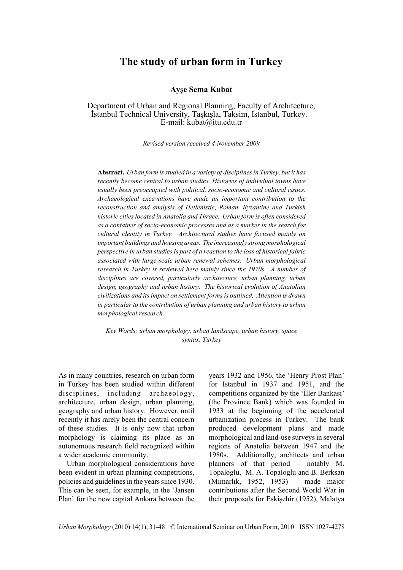# **The study of urban form in Turkey**

**Ayse Sema Kubat** 

Department of Urban and Regional Planning, Faculty of Architecture, İstanbul Technical University, Taşkışla, Taksim, Istanbul, Turkey. E-mail: kubat@itu.edu.tr

*Revised version received 4 November 2009*

**Abstract.** *Urban form is studied in a variety of disciplines in Turkey, but it has recently become central to urban studies. Histories of individual towns have usually been preoccupied with political, socio-economic and cultural issues. Archaeological excavations have made an important contribution to the reconstruction and analysis of Hellenistic, Roman, Byzantine and Turkish historic cities located in Anatolia and Thrace. Urban form is often considered as a container of socio-economic processes and as a marker in the search for cultural identity in Turkey. Architectural studies have focused mainly on important buildings and housing areas. The increasingly strong morphological perspective in urban studies is part of a reaction to the loss of historical fabric associated with large-scale urban renewal schemes. Urban morphological research in Turkey is reviewed here mainly since the 1970s. A number of disciplines are covered, particularly architecture, urban planning, urban design, geography and urban history. The historical evolution of Anatolian civilizations and its impact on settlement forms is outlined. Attention is drawn in particular to the contribution of urban planning and urban history to urban morphological research.*

*Key Words: urban morphology, urban landscape, urban history, space syntax, Turkey*

As in many countries, research on urban form in Turkey has been studied within different disciplines, including archaeology, architecture, urban design, urban planning, geography and urban history. However, until recently it has rarely been the central concern of these studies. It is only now that urban morphology is claiming its place as an autonomous research field recognized within a wider academic community.

Urban morphological considerations have been evident in urban planning competitions, policies and guidelines in the years since 1930. This can be seen, for example, in the 'Jansen Plan' for the new capital Ankara between the years 1932 and 1956, the 'Henry Prost Plan' for Istanbul in 1937 and 1951, and the competitions organized by the 'Iller Bankasi' (the Province Bank) which was founded in 1933 at the beginning of the accelerated urbanization process in Turkey. The bank produced development plans and made morphological and land-use surveys in several regions of Anatolia between 1947 and the 1980s. Additionally, architects and urban planners of that period – notably M. Topaloglu, M. A. Topaloglu and B. Berksan (Mimarlık, 1952, 1953) – made major contributions after the Second World War in their proposals for Eskişehir (1952), Malatya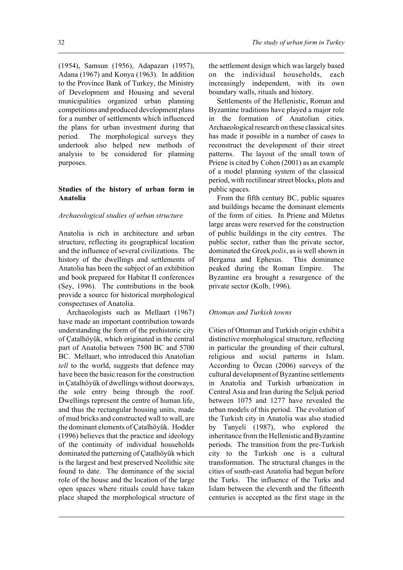(1954), Samsun (1956), Adapazarı (1957), Adana (1967) and Konya (1963). In addition to the Province Bank of Turkey, the Ministry of Development and Housing and several municipalities organized urban planning competitions and produced development plans for a number of settlements which influenced the plans for urban investment during that period. The morphological surveys they undertook also helped new methods of analysis to be considered for planning purposes.

# **Studies of the history of urban form in Anatolia**

# *Archaeological studies of urban structure*

Anatolia is rich in architecture and urban structure, reflecting its geographical location and the influence of several civilizations. The history of the dwellings and settlements of Anatolia has been the subject of an exhibition and book prepared for Habitat II conferences (Sey, 1996). The contributions in the book provide a source for historical morphological conspectuses of Anatolia.

Archaeologists such as Mellaart (1967) have made an important contribution towards understanding the form of the prehistoric city of Çatalhöyük, which originated in the central part of Anatolia between 7500 BC and 5700 BC. Mellaart, who introduced this Anatolian *tell* to the world, suggests that defence may have been the basic reason for the construction in Çatalhöyük of dwellings without doorways, the sole entry being through the roof. Dwellings represent the centre of human life, and thus the rectangular housing units, made of mud bricks and constructed wall to wall, are the dominant elements of Çatalhöyük. Hodder (1996) believes that the practice and ideology of the continuity of individual households dominated the patterning of Çatalhöyük which is the largest and best preserved Neolithic site found to date. The dominance of the social role of the house and the location of the large open spaces where rituals could have taken place shaped the morphological structure of the settlement design which was largely based on the individual households, each increasingly independent, with its own boundary walls, rituals and history.

Settlements of the Hellenistic, Roman and Byzantine traditions have played a major role in the formation of Anatolian cities. Archaeological research on these classical sites has made it possible in a number of cases to reconstruct the development of their street patterns. The layout of the small town of Priene is cited by Cohen (2001) as an example of a model planning system of the classical period, with rectilinear street blocks, plots and public spaces.

From the fifth century BC, public squares and buildings became the dominant elements of the form of cities. In Priene and Miletus large areas were reserved for the construction of public buildings in the city centres. The public sector, rather than the private sector, dominated the Greek *polis*, as is well shown in Bergama and Ephesus. This dominance peaked during the Roman Empire. The Byzantine era brought a resurgence of the private sector (Kolb, 1996).

# *Ottoman and Turkish towns*

Cities of Ottoman and Turkish origin exhibit a distinctive morphological structure, reflecting in particular the grounding of their cultural, religious and social patterns in Islam. According to Özcan (2006) surveys of the cultural development of Byzantine settlements in Anatolia and Turkish urbanization in Central Asia and Iran during the Seljuk period between 1075 and 1277 have revealed the urban models of this period. The evolution of the Turkish city in Anatolia was also studied by Tanyeli (1987), who explored the inheritance from the Hellenistic and Byzantine periods. The transition from the pre-Turkish city to the Turkish one is a cultural transformation. The structural changes in the cities of south-east Anatolia had begun before the Turks. The influence of the Turks and Islam between the eleventh and the fifteenth centuries is accepted as the first stage in the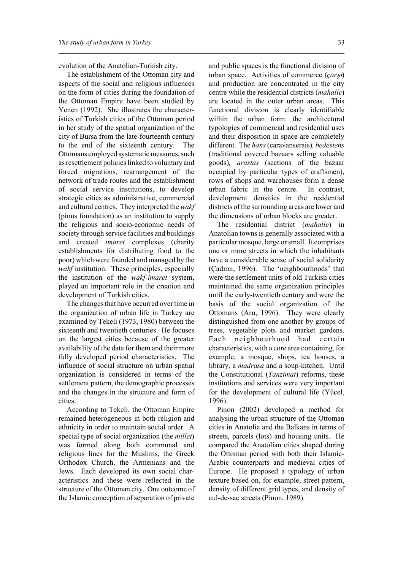evolution of the Anatolian-Turkish city.

The establishment of the Ottoman city and aspects of the social and religious influences on the form of cities during the foundation of the Ottoman Empire have been studied by Yenen (1992). She illustrates the characteristics of Turkish cities of the Ottoman period in her study of the spatial organization of the city of Bursa from the late-fourteenth century to the end of the sixteenth century. The Ottomans employed systematic measures, such as resettlement policies linked to voluntary and forced migrations, rearrangement of the network of trade routes and the establishment of social service institutions, to develop strategic cities as administrative, commercial and cultural centres. They interpreted the *wakf* (pious foundation) as an institution to supply the religious and socio-economic needs of society through service facilities and buildings and created *imaret* complexes (charity establishments for distributing food to the poor) which were founded and managed by the *wakf* institution. These principles, especially the institution of the *wakf-imaret* system, played an important role in the creation and development of Turkish cities.

The changes that have occurred over time in the organization of urban life in Turkey are examined by Tekeli (1973, 1980) between the sixteenth and twentieth centuries. He focuses on the largest cities because of the greater availability of the data for them and their more fully developed period characteristics. The influence of social structure on urban spatial organization is considered in terms of the settlement pattern, the demographic processes and the changes in the structure and form of cities.

According to Tekeli, the Ottoman Empire remained heterogeneous in both religion and ethnicity in order to maintain social order. A special type of social organization (the *millet*) was formed along both communal and religious lines for the Muslims, the Greek Orthodox Church, the Armenians and the Jews. Each developed its own social characteristics and these were reflected in the structure of the Ottoman city. One outcome of the Islamic conception of separation of private

and public spaces is the functional division of urban space. Activities of commerce (*çarŞI*) and production are concentrated in the city centre while the residential districts (*mahalle*) are located in the outer urban areas. This functional division is clearly identifiable within the urban form: the architectural typologies of commercial and residential uses and their disposition in space are completely different. The *hans* (caravanserais)*, bedestens* (traditional covered bazaars selling valuable goods)*, arastas* (sections of the bazaar occupied by particular types of craftsmen), rows of shops and warehouses form a dense urban fabric in the centre. In contrast, development densities in the residential districts of the surrounding areas are lower and the dimensions of urban blocks are greater.

The residential district (*mahalle*) in Anatolian towns is generally associated with a particular mosque, large or small. It comprises one or more streets in which the inhabitants have a considerable sense of social solidarity (Çadırcı, 1996). The 'neighbourhoods' that were the settlement units of old Turkish cities maintained the same organization principles until the early-twentieth century and were the basis of the social organization of the Ottomans (Aru, 1996). They were clearly distinguished from one another by groups of trees, vegetable plots and market gardens. Each neighbourhood had certain characteristics, with a core area containing, for example, a mosque, shops, tea houses, a library, a *madrasa* and a soup-kitchen. Until the Constitutional (*Tanzimat*) reforms, these institutions and services were very important for the development of cultural life (Yücel, 1996).

Pinon (2002) developed a method for analysing the urban structure of the Ottoman cities in Anatolia and the Balkans in terms of streets, parcels (lots) and housing units. He compared the Anatolian cities shaped during the Ottoman period with both their Islamic-Arabic counterparts and medieval cities of Europe. He proposed a typology of urban texture based on, for example, street pattern, density of different grid types, and density of cul-de-sac streets (Pinon, 1989).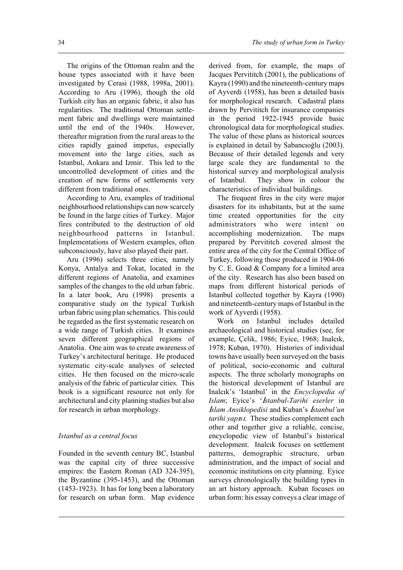The origins of the Ottoman realm and the house types associated with it have been investigated by Cerasi (1988, 1998a, 2001). According to Aru (1996), though the old Turkish city has an organic fabric, it also has regularities. The traditional Ottoman settlement fabric and dwellings were maintained until the end of the 1940s. However, thereafter migration from the rural areas to the cities rapidly gained impetus, especially movement into the large cities, such as Istanbul, Ankara and Izmir. This led to the uncontrolled development of cities and the creation of new forms of settlements very different from traditional ones.

According to Aru, examples of traditional neighbourhood relationships can now scarcely be found in the large cities of Turkey. Major fires contributed to the destruction of old neighbourhood patterns in Istanbul. Implementations of Western examples, often subconsciously, have also played their part.

Aru (1996) selects three cities, namely Konya, Antalya and Tokat, located in the different regions of Anatolia, and examines samples of the changes to the old urban fabric. In a later book, Aru (1998) presents a comparative study on the typical Turkish urban fabric using plan schematics. This could be regarded as the first systematic research on a wide range of Turkish cities. It examines seven different geographical regions of Anatolia. One aim was to create awareness of Turkey's architectural heritage. He produced systematic city-scale analyses of selected cities. He then focused on the micro-scale analysis of the fabric of particular cities. This book is a significant resource not only for architectural and city planning studies but also for research in urban morphology.

# *Istanbul as a central focus*

Founded in the seventh century BC, Istanbul was the capital city of three successive empires: the Eastern Roman (AD 324-395), the Byzantine (395-1453), and the Ottoman (1453-1923). It has for long been a laboratory for research on urban form. Map evidence derived from, for example, the maps of Jacques Pervititch (2001), the publications of Kayra (1990) and the nineteenth-century maps of Ayverdi (1958), has been a detailed basis for morphological research. Cadastral plans drawn by Pervititch for insurance companies in the period 1922-1945 provide basic chronological data for morphological studies. The value of these plans as historical sources is explained in detail by Sabanc1oğlu (2003). Because of their detailed legends and very large scale they are fundamental to the historical survey and morphological analysis of Istanbul. They show in colour the characteristics of individual buildings.

The frequent fires in the city were major disasters for its inhabitants, but at the same time created opportunities for the city administrators who were intent on accomplishing modernization. The maps prepared by Pervititch covered almost the entire area of the city for the Central Office of Turkey, following those produced in 1904-06 by C. E. Goad & Company for a limited area of the city. Research has also been based on maps from different historical periods of Istanbul collected together by Kayra (1990) and nineteenth-century maps of Istanbul in the work of Ayverdi (1958).

Work on Istanbul includes detailed archaeological and historical studies (see, for example, Çelik, 1986; Eyice, 1968; Inalcık, 1978; Kuban, 1970). Histories of individual towns have usually been surveyed on the basis of political, socio-economic and cultural aspects. The three scholarly monographs on the historical development of Istanbul are Inalc2k's 'Istanbul' in the *Encyclopedia of Islam*; Eyice's '*İstanbul-Tarihi eserler* in  $$ *tarihi yapısı*. These studies complement each other and together give a reliable, concise, encyclopedic view of Istanbul's historical development. Inalcık focuses on settlement patterns, demographic structure, urban administration, and the impact of social and economic institutions on city planning. Eyice surveys chronologically the building types in an art history approach. Kuban focuses on urban form: his essay conveys a clear image of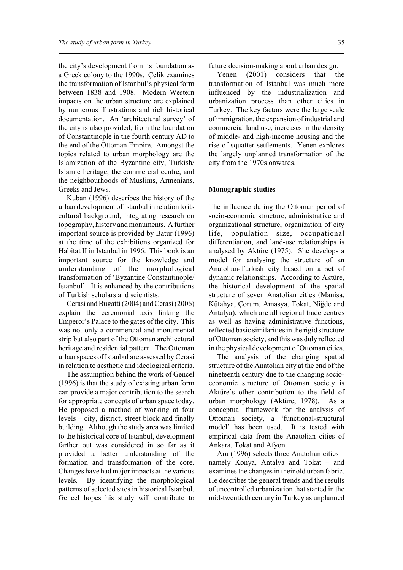the city's development from its foundation as a Greek colony to the 1990s. Çelik examines the transformation of Istanbul's physical form between 1838 and 1908. Modern Western impacts on the urban structure are explained by numerous illustrations and rich historical documentation. An 'architectural survey' of the city is also provided; from the foundation of Constantinople in the fourth century AD to the end of the Ottoman Empire. Amongst the topics related to urban morphology are the Islamization of the Byzantine city, Turkish/ Islamic heritage, the commercial centre, and the neighbourhoods of Muslims, Armenians, Greeks and Jews.

Kuban (1996) describes the history of the urban development of Istanbul in relation to its cultural background, integrating research on topography, history and monuments. A further important source is provided by Batur (1996) at the time of the exhibitions organized for Habitat II in Istanbul in 1996. This book is an important source for the knowledge and understanding of the morphological transformation of 'Byzantine Constantinople/ Istanbul'. It is enhanced by the contributions of Turkish scholars and scientists.

Cerasi and Bugatti (2004) and Cerasi (2006) explain the ceremonial axis linking the Emperor's Palace to the gates of the city. This was not only a commercial and monumental strip but also part of the Ottoman architectural heritage and residential pattern. The Ottoman urban spaces of Istanbul are assessed by Cerasi in relation to aesthetic and ideological criteria.

The assumption behind the work of Gencel (1996) is that the study of existing urban form can provide a major contribution to the search for appropriate concepts of urban space today. He proposed a method of working at four levels – city, district, street block and finally building. Although the study area was limited to the historical core of Istanbul, development farther out was considered in so far as it provided a better understanding of the formation and transformation of the core. Changes have had major impacts at the various levels. By identifying the morphological patterns of selected sites in historical Istanbul, Gencel hopes his study will contribute to

future decision-making about urban design.

Yenen (2001) considers that the transformation of Istanbul was much more influenced by the industrialization and urbanization process than other cities in Turkey. The key factors were the large scale of immigration, the expansion of industrial and commercial land use, increases in the density of middle- and high-income housing and the rise of squatter settlements. Yenen explores the largely unplanned transformation of the city from the 1970s onwards.

#### **Monographic studies**

The influence during the Ottoman period of socio-economic structure, administrative and organizational structure, organization of city life, population size, occupational differentiation, and land-use relationships is analysed by Aktüre (1975). She develops a model for analysing the structure of an Anatolian-Turkish city based on a set of dynamic relationships. According to Aktüre, the historical development of the spatial structure of seven Anatolian cities (Manisa, Kütahya, Çorum, Amasya, Tokat, Niğde and Antalya), which are all regional trade centres as well as having administrative functions, reflected basic similarities in the rigid structure of Ottoman society, and this was duly reflected in the physical development of Ottoman cities.

The analysis of the changing spatial structure of the Anatolian city at the end of the nineteenth century due to the changing socioeconomic structure of Ottoman society is Aktüre's other contribution to the field of urban morphology (Aktüre, 1978). As a conceptual framework for the analysis of Ottoman society, a 'functional-structural model' has been used. It is tested with empirical data from the Anatolian cities of Ankara, Tokat and Afyon.

Aru (1996) selects three Anatolian cities – namely Konya, Antalya and Tokat – and examines the changes in their old urban fabric. He describes the general trends and the results of uncontrolled urbanization that started in the mid-twentieth century in Turkey as unplanned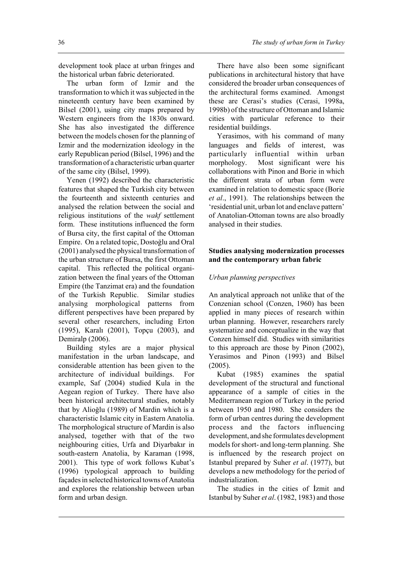development took place at urban fringes and the historical urban fabric deteriorated.

The urban form of Izmir and the transformation to which it was subjected in the nineteenth century have been examined by Bilsel (2001), using city maps prepared by Western engineers from the 1830s onward. She has also investigated the difference between the models chosen for the planning of Izmir and the modernization ideology in the early Republican period (Bilsel, 1996) and the transformation of a characteristic urban quarter of the same city (Bilsel, 1999).

Yenen (1992) described the characteristic features that shaped the Turkish city between the fourteenth and sixteenth centuries and analysed the relation between the social and religious institutions of the *wakf* settlement form. These institutions influenced the form of Bursa city, the first capital of the Ottoman Empire. On a related topic, Dostoğlu and Oral (2001) analysed the physical transformation of the urban structure of Bursa, the first Ottoman capital. This reflected the political organization between the final years of the Ottoman Empire (the Tanzimat era) and the foundation of the Turkish Republic. Similar studies analysing morphological patterns from different perspectives have been prepared by several other researchers, including Erton (1995), Karalı (2001), Topçu (2003), and Demiralp (2006).

Building styles are a major physical manifestation in the urban landscape, and considerable attention has been given to the architecture of individual buildings. For example, Saf (2004) studied Kula in the Aegean region of Turkey. There have also been historical architectural studies, notably that by Alioğlu (1989) of Mardin which is a characteristic Islamic city in Eastern Anatolia. The morphological structure of Mardin is also analysed, together with that of the two neighbouring cities, Urfa and Diyarbakır in south-eastern Anatolia, by Karaman (1998, 2001). This type of work follows Kubat's (1996) typological approach to building façades in selected historical towns of Anatolia and explores the relationship between urban form and urban design.

There have also been some significant publications in architectural history that have considered the broader urban consequences of the architectural forms examined. Amongst these are Cerasi's studies (Cerasi, 1998a, 1998b) of the structure of Ottoman and Islamic cities with particular reference to their residential buildings.

Yerasimos, with his command of many languages and fields of interest, was particularly influential within urban morphology. Most significant were his collaborations with Pinon and Borie in which the different strata of urban form were examined in relation to domestic space (Borie *et al*., 1991). The relationships between the 'residential unit, urban lot and enclave pattern' of Anatolian-Ottoman towns are also broadly analysed in their studies.

### **Studies analysing modernization processes and the contemporary urban fabric**

#### *Urban planning perspectives*

An analytical approach not unlike that of the Conzenian school (Conzen, 1960) has been applied in many pieces of research within urban planning. However, researchers rarely systematize and conceptualize in the way that Conzen himself did. Studies with similarities to this approach are those by Pinon (2002), Yerasimos and Pinon (1993) and Bilsel (2005).

Kubat (1985) examines the spatial development of the structural and functional appearance of a sample of cities in the Mediterranean region of Turkey in the period between 1950 and 1980. She considers the form of urban centres during the development process and the factors influencing development, and she formulates development models for short- and long-term planning. She is influenced by the research project on Istanbul prepared by Suher *et al*. (1977), but develops a new methodology for the period of industrialization.

The studies in the cities of Izmit and Istanbul by Suher *et al*. (1982, 1983) and those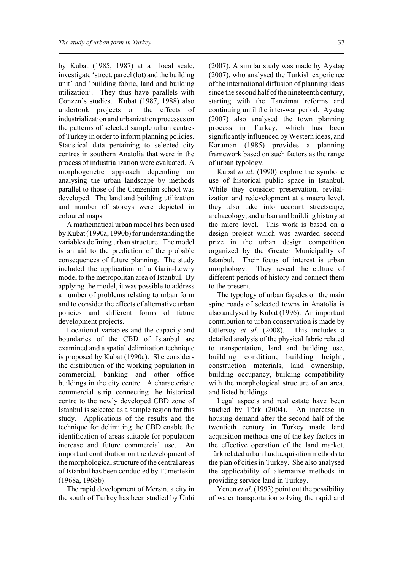by Kubat (1985, 1987) at a local scale, investigate 'street, parcel (lot) and the building unit' and 'building fabric, land and building utilization'. They thus have parallels with Conzen's studies. Kubat (1987, 1988) also undertook projects on the effects of industrialization and urbanization processes on the patterns of selected sample urban centres of Turkey in order to inform planning policies. Statistical data pertaining to selected city centres in southern Anatolia that were in the process of industrialization were evaluated. A morphogenetic approach depending on analysing the urban landscape by methods parallel to those of the Conzenian school was developed. The land and building utilization and number of storeys were depicted in coloured maps.

A mathematical urban model has been used by Kubat (1990a, 1990b) for understanding the variables defining urban structure. The model is an aid to the prediction of the probable consequences of future planning. The study included the application of a Garin-Lowry model to the metropolitan area of Istanbul. By applying the model, it was possible to address a number of problems relating to urban form and to consider the effects of alternative urban policies and different forms of future development projects.

Locational variables and the capacity and boundaries of the CBD of Istanbul are examined and a spatial delimitation technique is proposed by Kubat (1990c). She considers the distribution of the working population in commercial, banking and other office buildings in the city centre. A characteristic commercial strip connecting the historical centre to the newly developed CBD zone of Istanbul is selected as a sample region for this study. Applications of the results and the technique for delimiting the CBD enable the identification of areas suitable for population increase and future commercial use. An important contribution on the development of the morphological structure of the central areas of Istanbul has been conducted by Tümertekin (1968a, 1968b).

The rapid development of Mersin, a city in the south of Turkey has been studied by Ünlü (2007). A similar study was made by Ayataç (2007), who analysed the Turkish experience of the international diffusion of planning ideas since the second half of the nineteenth century, starting with the Tanzimat reforms and continuing until the inter-war period. Ayataç (2007) also analysed the town planning process in Turkey, which has been significantly influenced by Western ideas, and Karaman (1985) provides a planning framework based on such factors as the range of urban typology.

Kubat *et al*. (1990) explore the symbolic use of historical public space in Istanbul. While they consider preservation, revitalization and redevelopment at a macro level, they also take into account streetscape, archaeology, and urban and building history at the micro level. This work is based on a design project which was awarded second prize in the urban design competition organized by the Greater Municipality of Istanbul. Their focus of interest is urban morphology. They reveal the culture of different periods of history and connect them to the present.

The typology of urban façades on the main spine roads of selected towns in Anatolia is also analysed by Kubat (1996). An important contribution to urban conservation is made by Gülersoy *et al*. (2008). This includes a detailed analysis of the physical fabric related to transportation, land and building use, building condition, building height, construction materials, land ownership, building occupancy, building compatibility with the morphological structure of an area, and listed buildings.

Legal aspects and real estate have been studied by Türk (2004). An increase in housing demand after the second half of the twentieth century in Turkey made land acquisition methods one of the key factors in the effective operation of the land market. Türk related urban land acquisition methods to the plan of cities in Turkey. She also analysed the applicability of alternative methods in providing service land in Turkey.

Yenen *et al*. (1993) point out the possibility of water transportation solving the rapid and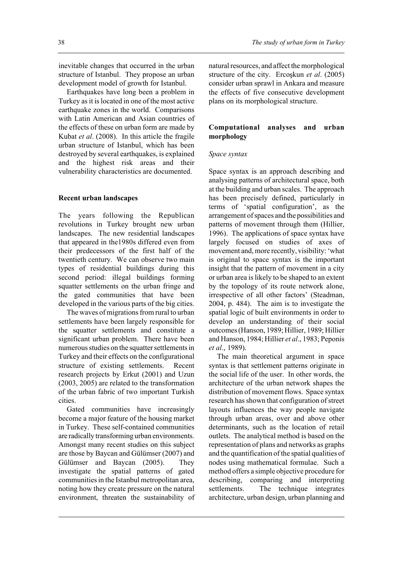inevitable changes that occurred in the urban structure of Istanbul. They propose an urban development model of growth for Istanbul.

Earthquakes have long been a problem in Turkey as it is located in one of the most active earthquake zones in the world. Comparisons with Latin American and Asian countries of the effects of these on urban form are made by Kubat *et al*. (2008). In this article the fragile urban structure of Istanbul, which has been destroyed by several earthquakes, is explained and the highest risk areas and their vulnerability characteristics are documented.

#### **Recent urban landscapes**

The years following the Republican revolutions in Turkey brought new urban landscapes. The new residential landscapes that appeared in the1980s differed even from their predecessors of the first half of the twentieth century. We can observe two main types of residential buildings during this second period: illegal buildings forming squatter settlements on the urban fringe and the gated communities that have been developed in the various parts of the big cities.

The waves of migrations from rural to urban settlements have been largely responsible for the squatter settlements and constitute a significant urban problem. There have been numerous studies on the squatter settlements in Turkey and their effects on the configurational structure of existing settlements. Recent research projects by Erkut (2001) and Uzun (2003, 2005) are related to the transformation of the urban fabric of two important Turkish cities.

Gated communities have increasingly become a major feature of the housing market in Turkey. These self-contained communities are radically transforming urban environments. Amongst many recent studies on this subject are those by Baycan and Gülümser (2007) and Gülümser and Baycan (2005). They investigate the spatial patterns of gated communities in the Istanbul metropolitan area, noting how they create pressure on the natural environment, threaten the sustainability of natural resources, and affect the morphological structure of the city. Ercoskun *et al.* (2005) consider urban sprawl in Ankara and measure the effects of five consecutive development plans on its morphological structure.

## **Computational analyses and urban morphology**

#### *Space syntax*

Space syntax is an approach describing and analysing patterns of architectural space, both at the building and urban scales. The approach has been precisely defined, particularly in terms of 'spatial configuration', as the arrangement of spaces and the possibilities and patterns of movement through them (Hillier, 1996). The applications of space syntax have largely focused on studies of axes of movement and, more recently, visibility: 'what is original to space syntax is the important insight that the pattern of movement in a city or urban area is likely to be shaped to an extent by the topology of its route network alone, irrespective of all other factors' (Steadman, 2004, p. 484). The aim is to investigate the spatial logic of built environments in order to develop an understanding of their social outcomes (Hanson, 1989; Hillier, 1989; Hillier and Hanson, 1984; Hillier *et al*., 1983; Peponis *et al*., 1989).

The main theoretical argument in space syntax is that settlement patterns originate in the social life of the user. In other words, the architecture of the urban network shapes the distribution of movement flows. Space syntax research has shown that configuration of street layouts influences the way people navigate through urban areas, over and above other determinants, such as the location of retail outlets. The analytical method is based on the representation of plans and networks as graphs and the quantification of the spatial qualities of nodes using mathematical formulae. Such a method offers a simple objective procedure for describing, comparing and interpreting settlements. The technique integrates architecture, urban design, urban planning and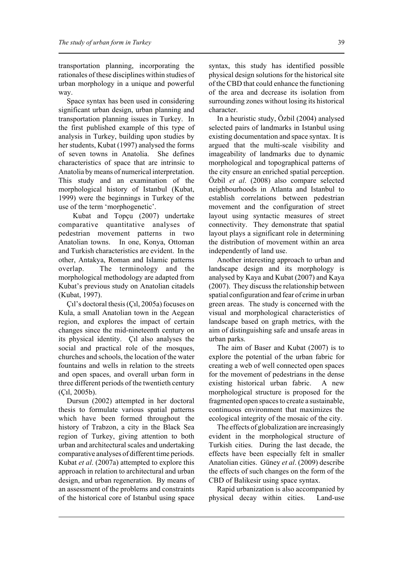transportation planning, incorporating the rationales of these disciplines within studies of urban morphology in a unique and powerful way.

Space syntax has been used in considering significant urban design, urban planning and transportation planning issues in Turkey. In the first published example of this type of analysis in Turkey, building upon studies by her students, Kubat (1997) analysed the forms of seven towns in Anatolia. She defines characteristics of space that are intrinsic to Anatolia by means of numerical interpretation. This study and an examination of the morphological history of Istanbul (Kubat, 1999) were the beginnings in Turkey of the use of the term 'morphogenetic'.

 Kubat and Topçu (2007) undertake comparative quantitative analyses of pedestrian movement patterns in two Anatolian towns. In one, Konya, Ottoman and Turkish characteristics are evident. In the other, Antakya, Roman and Islamic patterns overlap. The terminology and the morphological methodology are adapted from Kubat's previous study on Anatolian citadels (Kubat, 1997).

Ç1<sup>'</sup>s doctoral thesis (Ç1, 2005a) focuses on Kula, a small Anatolian town in the Aegean region, and explores the impact of certain changes since the mid-nineteenth century on its physical identity. Cil also analyses the social and practical role of the mosques, churches and schools, the location of the water fountains and wells in relation to the streets and open spaces, and overall urban form in three different periods of the twentieth century  $(C_1l, 2005b)$ .

Dursun (2002) attempted in her doctoral thesis to formulate various spatial patterns which have been formed throughout the history of Trabzon, a city in the Black Sea region of Turkey, giving attention to both urban and architectural scales and undertaking comparative analyses of different time periods. Kubat *et al*. (2007a) attempted to explore this approach in relation to architectural and urban design, and urban regeneration. By means of an assessment of the problems and constraints of the historical core of Istanbul using space

syntax, this study has identified possible physical design solutions for the historical site of the CBD that could enhance the functioning of the area and decrease its isolation from surrounding zones without losing its historical character.

In a heuristic study, Özbil (2004) analysed selected pairs of landmarks in Istanbul using existing documentation and space syntax. It is argued that the multi-scale visibility and imageability of landmarks due to dynamic morphological and topographical patterns of the city ensure an enriched spatial perception. Özbil *et al*. (2008) also compare selected neighbourhoods in Atlanta and Istanbul to establish correlations between pedestrian movement and the configuration of street layout using syntactic measures of street connectivity. They demonstrate that spatial layout plays a significant role in determining the distribution of movement within an area independently of land use.

Another interesting approach to urban and landscape design and its morphology is analysed by Kaya and Kubat (2007) and Kaya (2007). They discuss the relationship between spatial configuration and fear of crime in urban green areas. The study is concerned with the visual and morphological characteristics of landscape based on graph metrics, with the aim of distinguishing safe and unsafe areas in urban parks.

The aim of Baser and Kubat (2007) is to explore the potential of the urban fabric for creating a web of well connected open spaces for the movement of pedestrians in the dense existing historical urban fabric. A new morphological structure is proposed for the fragmented open spaces to create a sustainable, continuous environment that maximizes the ecological integrity of the mosaic of the city.

The effects of globalization are increasingly evident in the morphological structure of Turkish cities. During the last decade, the effects have been especially felt in smaller Anatolian cities. Güney *et al*. (2009) describe the effects of such changes on the form of the CBD of Balikesir using space syntax.

Rapid urbanization is also accompanied by physical decay within cities. Land-use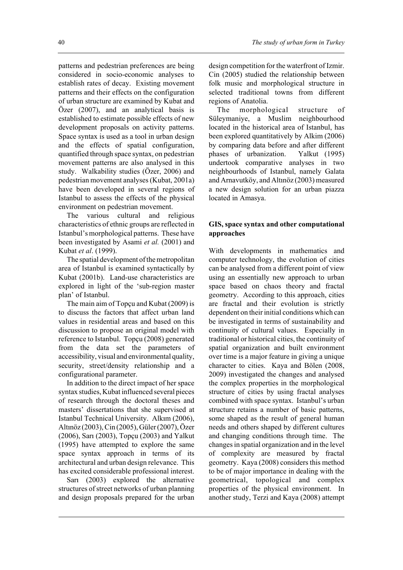patterns and pedestrian preferences are being considered in socio-economic analyses to establish rates of decay. Existing movement patterns and their effects on the configuration of urban structure are examined by Kubat and Özer (2007), and an analytical basis is established to estimate possible effects of new development proposals on activity patterns. Space syntax is used as a tool in urban design and the effects of spatial configuration, quantified through space syntax, on pedestrian movement patterns are also analysed in this study. Walkability studies (Özer, 2006) and pedestrian movement analyses (Kubat, 2001a) have been developed in several regions of Istanbul to assess the effects of the physical environment on pedestrian movement.

The various cultural and religious characteristics of ethnic groups are reflected in Istanbul's morphological patterns. These have been investigated by Asami *et al.* (2001) and Kubat *et al*. (1999).

The spatial development of the metropolitan area of Istanbul is examined syntactically by Kubat (2001b). Land-use characteristics are explored in light of the 'sub-region master plan' of Istanbul.

The main aim of Topçu and Kubat (2009) is to discuss the factors that affect urban land values in residential areas and based on this discussion to propose an original model with reference to Istanbul. Topçu (2008) generated from the data set the parameters of accessibility, visual and environmental quality, security, street/density relationship and a configurational parameter.

In addition to the direct impact of her space syntax studies, Kubat influenced several pieces of research through the doctoral theses and masters' dissertations that she supervised at Istanbul Technical University. Alkim (2006), Altınöz (2003), Cin (2005), Güler (2007), Özer (2006), Sarı (2003), Topçu (2003) and Yalkut (1995) have attempted to explore the same space syntax approach in terms of its architectural and urban design relevance. This has excited considerable professional interest.

Sari  $(2003)$  explored the alternative structures of street networks of urban planning and design proposals prepared for the urban

design competition for the waterfront of Izmir. Cin (2005) studied the relationship between folk music and morphological structure in selected traditional towns from different regions of Anatolia.

The morphological structure of Süleymaniye, a Muslim neighbourhood located in the historical area of Istanbul, has been explored quantitatively by Alkim (2006) by comparing data before and after different phases of urbanization. Yalkut (1995) undertook comparative analyses in two neighbourhoods of Istanbul, namely Galata and Arnavutköy, and Altınöz (2003) measured a new design solution for an urban piazza located in Amasya.

## **GIS, space syntax and other computational approaches**

With developments in mathematics and computer technology, the evolution of cities can be analysed from a different point of view using an essentially new approach to urban space based on chaos theory and fractal geometry. According to this approach, cities are fractal and their evolution is strictly dependent on their initial conditions which can be investigated in terms of sustainability and continuity of cultural values. Especially in traditional or historical cities, the continuity of spatial organization and built environment over time is a major feature in giving a unique character to cities. Kaya and Bölen (2008, 2009) investigated the changes and analysed the complex properties in the morphological structure of cities by using fractal analyses combined with space syntax. Istanbul's urban structure retains a number of basic patterns, some shaped as the result of general human needs and others shaped by different cultures and changing conditions through time. The changes in spatial organization and in the level of complexity are measured by fractal geometry. Kaya (2008) considers this method to be of major importance in dealing with the geometrical, topological and complex properties of the physical environment. In another study, Terzi and Kaya (2008) attempt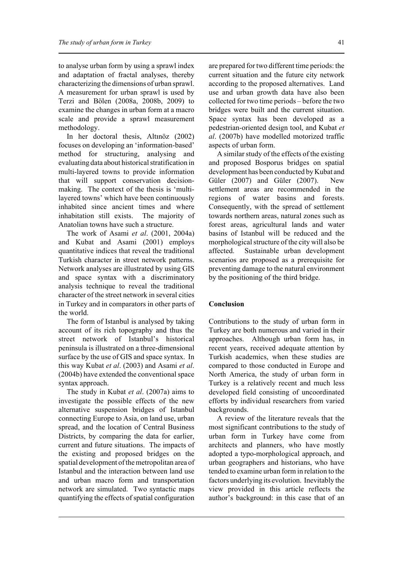to analyse urban form by using a sprawl index and adaptation of fractal analyses, thereby characterizing the dimensions of urban sprawl. A measurement for urban sprawl is used by Terzi and Bölen (2008a, 2008b, 2009) to examine the changes in urban form at a macro scale and provide a sprawl measurement methodology.

In her doctoral thesis, Altinöz (2002) focuses on developing an 'information-based' method for structuring, analysing and evaluating data about historical stratification in multi-layered towns to provide information that will support conservation decisionmaking. The context of the thesis is 'multilayered towns' which have been continuously inhabited since ancient times and where inhabitation still exists. The majority of Anatolian towns have such a structure.

The work of Asami *et al*. (2001, 2004a) and Kubat and Asami (2001) employs quantitative indices that reveal the traditional Turkish character in street network patterns. Network analyses are illustrated by using GIS and space syntax with a discriminatory analysis technique to reveal the traditional character of the street network in several cities in Turkey and in comparators in other parts of the world.

The form of Istanbul is analysed by taking account of its rich topography and thus the street network of Istanbul's historical peninsula is illustrated on a three-dimensional surface by the use of GIS and space syntax. In this way Kubat *et al*. (2003) and Asami *et al*. (2004b) have extended the conventional space syntax approach.

The study in Kubat *et al*. (2007a) aims to investigate the possible effects of the new alternative suspension bridges of Istanbul connecting Europe to Asia, on land use, urban spread, and the location of Central Business Districts, by comparing the data for earlier, current and future situations. The impacts of the existing and proposed bridges on the spatial development of the metropolitan area of Istanbul and the interaction between land use and urban macro form and transportation network are simulated. Two syntactic maps quantifying the effects of spatial configuration

are prepared for two different time periods: the current situation and the future city network according to the proposed alternatives. Land use and urban growth data have also been collected for two time periods – before the two bridges were built and the current situation. Space syntax has been developed as a pedestrian-oriented design tool, and Kubat *et al*. (2007b) have modelled motorized traffic aspects of urban form.

A similar study of the effects of the existing and proposed Bosporus bridges on spatial development has been conducted by Kubat and Güler (2007) and Güler (2007). New settlement areas are recommended in the regions of water basins and forests. Consequently, with the spread of settlement towards northern areas, natural zones such as forest areas, agricultural lands and water basins of Istanbul will be reduced and the morphological structure of the city will also be affected. Sustainable urban development scenarios are proposed as a prerequisite for preventing damage to the natural environment by the positioning of the third bridge.

#### **Conclusion**

Contributions to the study of urban form in Turkey are both numerous and varied in their approaches. Although urban form has, in recent years, received adequate attention by Turkish academics, when these studies are compared to those conducted in Europe and North America, the study of urban form in Turkey is a relatively recent and much less developed field consisting of uncoordinated efforts by individual researchers from varied backgrounds.

A review of the literature reveals that the most significant contributions to the study of urban form in Turkey have come from architects and planners, who have mostly adopted a typo-morphological approach, and urban geographers and historians, who have tended to examine urban form in relation to the factors underlying its evolution. Inevitably the view provided in this article reflects the author's background: in this case that of an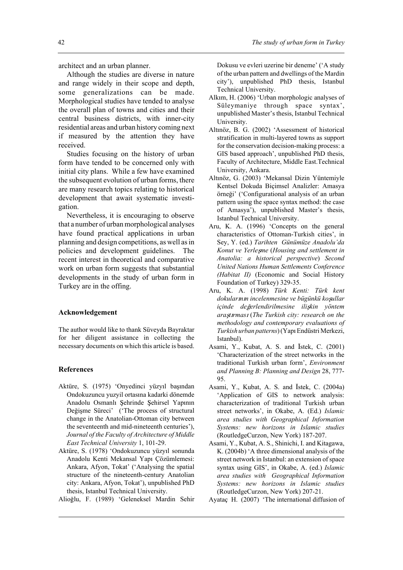architect and an urban planner.

Although the studies are diverse in nature and range widely in their scope and depth, some generalizations can be made. Morphological studies have tended to analyse the overall plan of towns and cities and their central business districts, with inner-city residential areas and urban history coming next if measured by the attention they have received.

Studies focusing on the history of urban form have tended to be concerned only with initial city plans. While a few have examined the subsequent evolution of urban forms, there are many research topics relating to historical development that await systematic investigation.

Nevertheless, it is encouraging to observe that a number of urban morphological analyses have found practical applications in urban planning and design competitions, as well as in policies and development guidelines. The recent interest in theoretical and comparative work on urban form suggests that substantial developments in the study of urban form in Turkey are in the offing.

#### **Acknowledgement**

The author would like to thank Süveyda Bayraktar for her diligent assistance in collecting the necessary documents on which this article is based.

#### **References**

- Aktüre, S. (1975) 'Onyedinci yüzyıl başından Ondokuzuncu yuzyil ortasına kadarki dönemde Anadolu Osmanlı Şehrinde Şehirsel Yapının Değişme Süreci' ('The process of structural change in the Anatolian-Ottoman city between the seventeenth and mid-nineteenth centuries'), *Journal of the Faculty of Architecture of Middle East Technical University* 1, 101-29.
- Aktüre, S. (1978) 'Ondokuzuncu yüzyıl sonunda Anadolu Kenti Mekansal Yapı Çözümlemesi: Ankara, Afyon, Tokat' ('Analysing the spatial structure of the nineteenth-century Anatolian city: Ankara, Afyon, Tokat'), unpublished PhD thesis, Istanbul Technical University.

Alioğlu, F. (1989) 'Geleneksel Mardin Sehir

Dokusu ve evleri uzerine bir deneme' ('A study of the urban pattern and dwellings of the Mardin city'), unpublished PhD thesis, Istanbul Technical University.

- Alkım, H. (2006) 'Urban morphologic analyses of Süleymaniye through space syntax', unpublished Master's thesis, Istanbul Technical University.
- Altınöz, B. G. (2002) 'Assessment of historical stratification in multi-layered towns as support for the conservation decision-making process: a GIS based approach', unpublished PhD thesis, Faculty of Architecture, Middle East.Technical University, Ankara.
- Altınöz, G. (2003) 'Mekansal Dizin Yüntemiyle Kentsel Dokuda Biçimsel Analizler: Amasya örneği' ('Configurational analysis of an urban pattern using the space syntax method: the case of Amasya'), unpublished Master's thesis, Istanbul Technical University.
- Aru, K. A. (1996) 'Concepts on the general characteristics of Ottoman-Turkish cities', in Sey, Y. (ed.) *Tarihten Günümüze Anadolu'da Konut ve Yerle*Õ*me* (*Housing and settlement in Anatolia: a historical perspective*) *Second United Nations Human Settlements Conference (Habitat II)* (Economic and Social History Foundation of Turkey) 329-35.
- Aru, K. A. (1998) *Türk Kenti: Türk kent dokular*2*n*2*n incelenmesine ve bügünkü ko*Õ*ullar içinde de*—*erlendirilmesine ili*Õ*kin yöntem ara*Õ*t*2*rmas*2 (*The Turkish city: research on the methodology and contemporary evaluations of*  $Turkish urban patterns$ ) (Yapı Endüstri Merkezi, Istanbul).
- Asami, Y., Kubat, A. S. and Istek, C. (2001) 'Characterization of the street networks in the traditional Turkish urban form', *Environment and Planning B: Planning and Design* 28, 777- 95.
- Asami, Y., Kubat, A. S. and Istek, C. (2004a) 'Application of GIS to network analysis: characterization of traditional Turkish urban street networks', in Okabe, A. (Ed.) *Islamic area studies with Geographical Information Systems: new horizons in Islamic studies* (RoutledgeCurzon, New York) 187-207.
- Asami, Y., Kubat, A. S., Shinichi, I. and Kitagawa, K. (2004b) 'A three dimensional analysis of the street network in Istanbul: an extension of space syntax using GIS', in Okabe, A. (ed.) *Islamic area studies with Geographical Information Systems: new horizons in Islamic studies* (RoutledgeCurzon, New York) 207-21.
- Ayataç H. (2007) 'The international diffusion of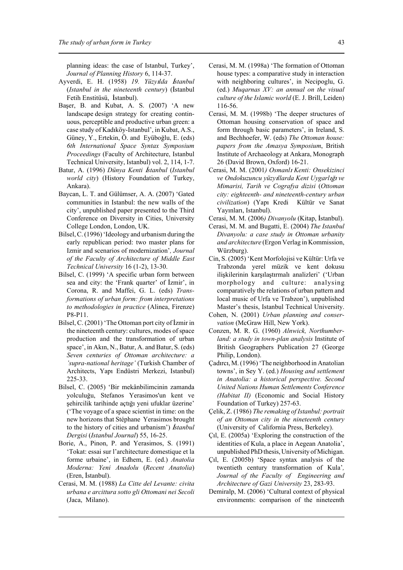planning ideas: the case of Istanbul, Turkey', *Journal of Planning History* 6, 114-37.

- Ayverdi, E. H. (1958) *19. Yüzy*2*lda* ¤*stanbul* (*Istanbul in the nineteenth century*) (*İstanbul* Fetih Enstitüsü, İstanbul).
- Başer, B. and Kubat, A. S. (2007) 'A new landscape design strategy for creating continuous, perceptible and productive urban green: a case study of Kadıköy-Istanbul', in Kubat, A.S., Güney, Y., Ertekin, Ö. and Eyüboğlu, E. (eds) *6th International Space Syntax Symposium Proceedings* (Faculty of Architecture, Istanbul Technical University, Istanbul) vol. 2, 114, 1-7.
- Batur, A. (1996) *Dünya Kenti İstanbul* (*Istanbul world city*) (History Foundation of Turkey, Ankara).
- Baycan, L. T. and Gülümser, A. A. (2007) 'Gated communities in Istanbul: the new walls of the city', unpublished paper presented to the Third Conference on Diversity in Cities, University College London, London, UK.
- Bilsel, C. (1996) 'Ideology and urbanism during the early republican period: two master plans for Izmir and scenarios of modernization'*, Journal of the Faculty of Architecture of Middle East Technical University* 16 (1-2), 13-30.
- Bilsel, C. (1999) 'A specific urban form between sea and city: the 'Frank quarter' of Izmir', in Corona, R. and Maffei, G. L. (eds) *Transformations of urban form: from interpretations to methodologies in practice* (Alinea, Firenze) P8-P11.
- Bilsel, C. (2001) 'The Ottoman port city of İzmir in the nineteenth century: cultures, modes of space production and the transformation of urban space', in Akin, N., Batur, A. and Batur, S. (eds) *Seven centuries of Ottoman architecture: a 'supra-national heritage'* (Turkish Chamber of Architects, Yapı Endüstri Merkezi, Istanbul) 225-33.
- Bilsel, C. (2005) 'Bir mekânbilimcinin zamanda yolculuğu, Stefanos Yerasimos'un kent ve şehircilik tarihinde açtığı yeni ufuklar üzerine' ('The voyage of a space scientist in time: on the new horizons that Stéphane Yerasimos brought to the history of cities and urbanism') *İstanbul Dergisi* (*Istanbul Journal*) 55, 16-25.
- Borie, A., Pinon, P. and Yerasimos, S. (1991) 'Tokat: essai sur l'architecture domestique et la forme urbaine', in Edhem, E. (ed.) *Anatolia Moderna: Yeni Anadolu* (*Recent Anatolia*) (Eren, İstanbul).
- Cerasi, M. M. (1988) *La Citte del Levante: civita urbana e arcittura sotto gli Ottomani nei Secoli* (Jaca, Milano).
- Cerasi, M. M. (1998a) 'The formation of Ottoman house types: a comparative study in interaction with neighboring cultures', in Necipoglu, G. (ed.) *Muqarnas XV: an annual on the visual culture of the Islamic world* (E. J. Brill, Leiden) 116-56.
- Cerasi, M. M. (1998b) 'The deeper structures of Ottoman housing conservation of space and form through basic parameters', in Ireland, S. and Bechhoefer, W. (eds) *The Ottoman house: papers from the Amasya Symposium*, British Institute of Archaeology at Ankara, Monograph 26 (David Brown, Oxford) 16-21.
- Cerasi, M. M. (2001*) Osmanl*2 *Kenti: Onsekizinci ve Ondokuzuncu yüzyıllarda Kent Uygarlığı ve Mimarisi, Tarih ve Cografya dizisi* (*Ottoman city: eighteenth- and nineteenth-century urban civilization*) (Yapı Kredi Kültür ve Sanat Yayınları, Istanbul).
- Cerasi, M. M. (2006) Divanyolu (Kitap, İstanbul).
- Cerasi, M. M. and Bugatti, E. (2004) *The Istanbul Divanyolu: a case study in Ottoman urbanity and architecture* (Ergon Verlag in Kommission, Würzburg).
- Cin, S. (2005) 'Kent Morfolojisi ve Kültür: Urfa ve Trabzonda yerel müzik ve kent dokusu ilişkilerinin karşılaştırmalı analizleri' ('Urban morphology and culture: analysing comparatively the relations of urban pattern and local music of Urfa ve Trabzon'), unpublished Master's thesis, Istanbul Technical University.
- Cohen, N. (2001) *Urban planning and conservation* (McGraw Hill, New York).
- Conzen, M. R. G. (1960) *Alnwick, Northumberland: a study in town-plan analysis* Institute of British Geographers Publication 27 (George Philip, London).
- Çadırcı, M. (1996) 'The neighborhood in Anatolian towns', in Sey Y. (ed.) *Housing and settlement in Anatolia: a historical perspective. Second United Nations Human Settlements Conference (Habitat II)* (Economic and Social History Foundation of Turkey) 257-63.
- Çelik, Z. (1986) *The remaking of Istanbul: portrait of an Ottoman city in the nineteenth century* (University of California Press, Berkeley).
- $C<sub>1</sub>$ , E. (2005a) 'Exploring the construction of the identities of Kula, a place in Aegean Anatolia', unpublished PhD thesis, University of Michigan.
- Ç2l, E. (2005b) 'Space syntax analysis of the twentieth century transformation of Kula'*, Journal of the Faculty of Engineering and Architecture of Gazi University* 23, 283-93.
- Demiralp, M. (2006) 'Cultural context of physical environments: comparison of the nineteenth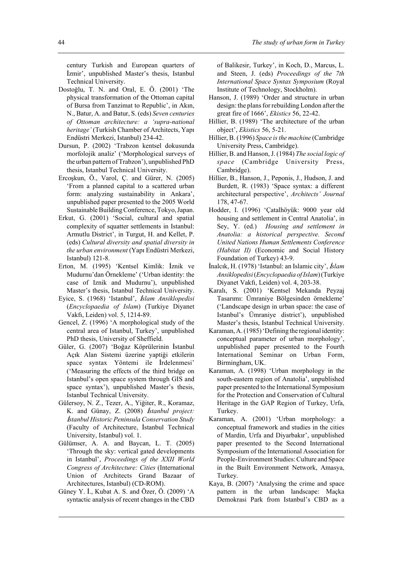century Turkish and European quarters of İzmir', unpublished Master's thesis, Istanbul Technical University.

- Dostoğlu, T. N. and Oral, E. Ö. (2001) 'The physical transformation of the Ottoman capital of Bursa from Tanzimat to Republic', in Akin, N., Batur, A. and Batur, S. (eds) *Seven centuries of Ottoman architecture: a 'supra-national heritage'* (Turkish Chamber of Architects, Yap1 Endüstri Merkezi, Istanbul) 234-42.
- Dursun, P. (2002) 'Trabzon kentsel dokusunda morfolojik analiz' ('Morphological surveys of the urban pattern of Trabzon'), unpublished PhD thesis, Istanbul Technical University.
- Ercoşkun, Ö., Varol, Ç. and Gürer, N. (2005) 'From a planned capital to a scattered urban form: analyzing sustainability in Ankara', unpublished paper presented to the 2005 World Sustainable Building Conference, Tokyo, Japan.
- Erkut, G. (2001) 'Social, cultural and spatial complexity of squatter settlements in Istanbul: Armutlu District', in Turgut, H. and Kellet, P. (eds) *Cultural diversity and spatial diversity in the urban environment* (Yap1 Endüstri Merkezi, Istanbul) 121-8.
- Erton, M. (1995) 'Kentsel Kimlik: İznik ve Mudurnu'dan Örnekleme' ('Urban identity: the case of Iznik and Mudurnu'), unpublished Master's thesis, Istanbul Technical University.
- Eyice, S. (1968) 'Istanbul', İslam Ansiklopedisi (*Encyclopaedia of Islam*) (Turkiye Diyanet Vakfi, Leiden) vol. 5, 1214-89.
- Gencel, Z. (1996) 'A morphological study of the central area of Istanbul, Turkey', unpublished PhD thesis, University of Sheffield.
- Güler, G. (2007) 'Boğaz Köprülerinin İstanbul Açık Alan Sistemi üzerine yaptiği etkilerin space syntax Yöntemi ile İrdelenmesi' ('Measuring the effects of the third bridge on Istanbul's open space system through GIS and space syntax'), unpublished Master's thesis, Istanbul Technical University.
- Gülersoy, N. Z., Tezer, A., Yiğiter, R., Koramaz, K. and Günay, Z. (2008) *İstanbul project:* ¤*stanbul Historic Peninsula Conservation Study* (Faculty of Architecture, İstanbul Technical University, Istanbul) vol. 1.
- Gülümser, A. A. and Baycan, L. T. (2005) 'Through the sky: vertical gated developments in Istanbul', *Proceedings of the XXII World Congress of Architecture: Cities* (International Union of Architects Grand Bazaar of Architectures, Istanbul) (CD-ROM).
- Güney Y. İ., Kubat A. S. and Özer, Ö.  $(2009)$  'A syntactic analysis of recent changes in the CBD

of Balikesir, Turkey', in Koch, D., Marcus, L. and Steen, J. (eds) *Proceedings of the 7th International Space Syntax Symposium* (Royal Institute of Technology, Stockholm).

- Hanson, J. (1989) 'Order and structure in urban design: the plans for rebuilding London after the great fire of 1666', *Ekistics* 56, 22-42.
- Hillier, B. (1989) 'The architecture of the urban object', *Ekistics* 56, 5-21.
- Hillier, B. (1996) *Space is the machine* (Cambridge University Press, Cambridge).
- Hillier, B. and Hanson, J. (1984) *The social logic of space* (Cambridge University Press, Cambridge).
- Hillier, B., Hanson, J., Peponis, J., Hudson, J. and Burdett, R. (1983) 'Space syntax: a different architectural perspective', *Architects' Journal* 178, 47-67.
- Hodder, I. (1996) 'Çatalhöyük: 9000 year old housing and settlement in Central Anatolia', in Sey, Y. (ed.) *Housing and settlement in Anatolia: a historical perspective. Second United Nations Human Settlements Conference (Habitat II)* (Economic and Social History Foundation of Turkey) 43-9.
- Inalcik, H. (1978) 'Istanbul: an Islamic city', *İslam Ansiklopedisi* (*Encyclopaedia of Islam*) (Turkiye Diyanet Vakfi, Leiden) vol. 4, 203-38.
- Karalı, S. (2001) 'Kentsel Mekanda Peyzaj Tasarımı: Ümraniye Bölgesinden örnekleme' ('Landscape design in urban space: the case of Istanbul's Ümraniye district'), unpublished Master's thesis, Istanbul Technical University.
- Karaman, A. (1985) 'Defining the regional identity: conceptual parameter of urban morphology', unpublished paper presented to the Fourth International Seminar on Urban Form, Birmingham, UK.
- Karaman, A. (1998) 'Urban morphology in the south-eastern region of Anatolia', unpublished paper presented to the International Symposium for the Protection and Conservation of Cultural Heritage in the GAP Region of Turkey, Urfa, Turkey.
- Karaman, A. (2001) 'Urban morphology: a conceptual framework and studies in the cities of Mardin, Urfa and Divarbakır', unpublished paper presented to the Second International Symposium of the International Association for People-Environment Studies: Culture and Space in the Built Environment Network, Amasya, Turkey.
- Kaya, B. (2007) 'Analysing the crime and space pattern in the urban landscape: Maçka Demokrasi Park from Istanbul's CBD as a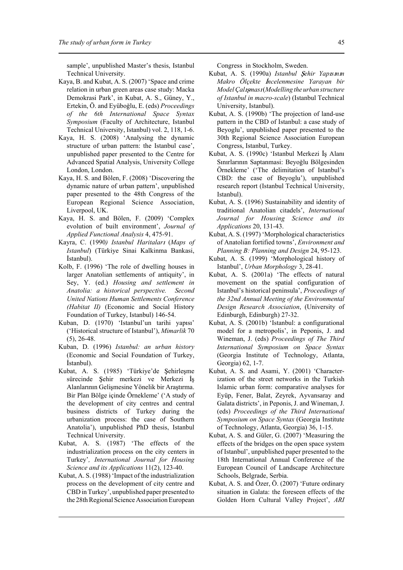sample', unpublished Master's thesis, Istanbul Technical University.

- Kaya, B. and Kubat, A. S. (2007) 'Space and crime relation in urban green areas case study: Macka Demokrasi Park', in Kubat, A. S., Güney, Y., Ertekin, Ö. and Eyüboğlu, E. (eds) *Proceedings of the 6th International Space Syntax Symposium* (Faculty of Architecture, Istanbul Technical University, Istanbul) vol. 2, 118, 1-6.
- Kaya, H. S. (2008) 'Analysing the dynamic structure of urban pattern: the Istanbul case', unpublished paper presented to the Centre for Advanced Spatial Analysis, University College London, London.
- Kaya, H. S. and Bölen, F. (2008) 'Discovering the dynamic nature of urban pattern', unpublished paper presented to the 48th Congress of the European Regional Science Association, Liverpool, UK.
- Kaya, H. S. and Bölen, F. (2009) 'Complex evolution of built environment', *Journal of Applied Functional Analysis* 4, 475-91.
- Kayra, C. (1990*) Istanbul Haritalar*2 (*Maps of Istanbul*) (Türkiye Sinai Kalkinma Bankasi, *(stanbul).*
- Kolb, F. (1996) 'The role of dwelling houses in larger Anatolian settlements of antiquity', in Sey, Y. (ed.) *Housing and settlement in Anatolia: a historical perspective. Second United Nations Human Settlements Conference (Habitat II)* (Economic and Social History Foundation of Turkey, Istanbul) 146-54.
- Kuban, D. (1970) 'Istanbul'un tarihi yapısı' ('Historical structure of Istanbul'), *Mimarlik* 70 (5), 26-48.
- Kuban, D. (1996) *Istanbul: an urban history* (Economic and Social Foundation of Turkey, *(stanbul).*
- Kubat, A. S. (1985) 'Türkiye'de Şehirleşme sürecinde Şehir merkezi ve Merkezi İş Alanlarının Gelişmesine Yönelik bir Araştırma. Bir Plan Bölge içinde Örnekleme' ('A study of the development of city centres and central business districts of Turkey during the urbanization process: the case of Southern Anatolia'), unpublished PhD thesis, Istanbul Technical University.
- Kubat, A. S. (1987) 'The effects of the industrialization process on the city centers in Turkey'*, International Journal for Housing Science and its Applications* 11(2), 123-40.
- Kubat, A. S. (1988) 'Impact of the industrialization process on the development of city centre and CBD in Turkey', unpublished paper presented to the 28th Regional Science Association European

Congress in Stockholm, Sweden.

- Kubat, A. S. (1990a) *Istanbul Şehir Yapısının Makro Ölçekte* ¤*ncelenmesine Yarayan bir Model Çalışması* (*Modelling the urban structure of Istanbul in macro-scale*) (Istanbul Technical University, Istanbul).
- Kubat, A. S. (1990b) 'The projection of land-use pattern in the CBD of Istanbul: a case study of Beyoglu', unpublished paper presented to the 30th Regional Science Association European Congress, Istanbul, Turkey.
- Kubat, A. S. (1990c) 'Istanbul Merkezi İş Alanı Sınırlarının Saptanmasi: Beyoğlu Bölgesinden Örnekleme' ('The delimitation of Istanbul's CBD: the case of Beyoglu'), unpublished research report (Istanbul Technical University, Istanbul).
- Kubat, A. S. (1996) Sustainability and identity of traditional Anatolian citadels', *International Journal for Housing Science and its Applications* 20, 131-43.
- Kubat, A. S. (1997) 'Morphological characteristics of Anatolian fortified towns', *Environment and Planning B: Planning and Design* 24, 95-123.
- Kubat, A. S. (1999) 'Morphological history of Istanbul', *Urban Morphology* 3, 28-41.
- Kubat, A. S. (2001a) 'The effects of natural movement on the spatial configuration of Istanbul's historical peninsula', *Proceedings of the 32nd Annual Meeting of the Environmental Design Research Association*, (University of Edinburgh, Edinburgh) 27-32.
- Kubat, A. S. (2001b) 'Istanbul: a configurational model for a metropolis', in Peponis, J. and Wineman, J. (eds) *Proceedings of The Third International Symposium on Space Syntax* (Georgia Institute of Technology, Atlanta, Georgia) 62, 1-7.
- Kubat, A. S. and Asami, Y. (2001) 'Characterization of the street networks in the Turkish Islamic urban form: comparative analyses for Eyüp, Fener, Balat, Zeyrek, Ayvansaray and Galata districts', in Peponis, J. and Wineman, J. (eds) *Proceedings of the Third International Symposium on Space Syntax* (Georgia Institute of Technology, Atlanta, Georgia) 36, 1-15.
- Kubat, A. S. and Güler, G. (2007) 'Measuring the effects of the bridges on the open space system of Istanbul', unpublished paper presented to the 18th International Annual Conference of the European Council of Landscape Architecture Schools, Belgrade, Serbia.
- Kubat, A. S. and Özer, Ö. (2007) 'Future ordinary situation in Galata: the foreseen effects of the Golden Horn Cultural Valley Project', *ARI*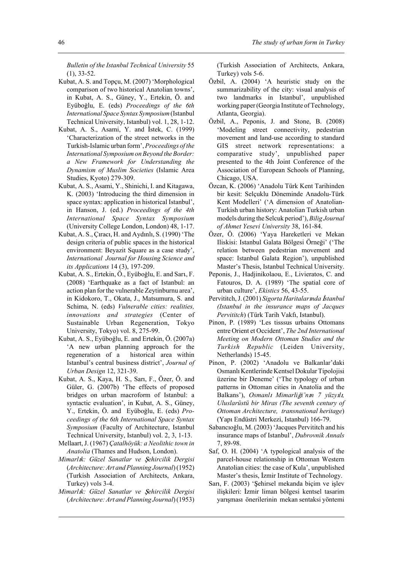*Bulletin of the Istanbul Technical University* 55 (1), 33-52.

- Kubat, A. S. and Topçu, M. (2007) 'Morphological comparison of two historical Anatolian towns', in Kubat, A. S., Güney, Y., Ertekin, Ö. and Eyüboğlu, E. (eds) Proceedings of the 6th *International Space Syntax Symposium* (Istanbul Technical University, Istanbul) vol. 1, 28, 1-12.
- Kubat, A. S., Asami, Y. and İstek, C. (1999) 'Characterization of the street networks in the Turkish-Islamic urban form', *Proceedings of the International Symposium on Beyond the Border: a New Framework for Understanding the Dynamism of Muslim Societies* (Islamic Area Studies, Kyoto) 279-309.
- Kubat, A. S., Asami, Y., Shinichi, I. and Kitagawa, K. (2003) 'Introducing the third dimension in space syntax: application in historical Istanbul', in Hanson, J. (ed.) *Proceedings of the 4th International Space Syntax Symposium* (University College London, London) 48, 1-17.
- Kubat, A. S., Çıracı, H. and Aydınlı, S. (1990) 'The design criteria of public spaces in the historical environment: Beyazit Square as a case study', *International Journal for Housing Science and its Applications* 14 (3), 197-209.
- Kubat, A. S., Ertekin, Ö., Eyüboğlu, E. and Sart, F. (2008) 'Earthquake as a fact of Istanbul: an action plan for the vulnerable Zeytinburnu area', in Kidokoro, T., Okata, J., Matsumura, S. and Schima, N. (eds) *Vulnerable cities: realities, innovations and strategies* (Center of Sustainable Urban Regeneration, Tokyo University, Tokyo) vol. 8, 275-99.
- Kubat, A. S., Eyüboğlu, E. and Ertekin, Ö. (2007a) 'A new urban planning approach for the regeneration of a historical area within Istanbul's central business district', *Journal of Urban Design* 12, 321-39.
- Kubat, A. S., Kaya, H. S., Sari, F., Özer, Ö. and Güler, G. (2007b) 'The effects of proposed bridges on urban macroform of Istanbul: a syntactic evaluation', in Kubat, A. S., Güney, Y., Ertekin, Ö. and Eyüboğlu, E. (eds) *Proceedings of the 6th International Space Syntax Symposium* (Faculty of Architecture, Istanbul Technical University, Istanbul) vol. 2, 3, 1-13.
- Mellaart, J. (1967) *Çatalhöyük: a Neolithic town in Anatolia* (Thames and Hudson, London).
- *Mimarl*2*k: Güzel Sanatlar ve* Ô*ehircilik Dergisi* (*Architecture: Art and Planning Journal*) (1952) (Turkish Association of Architects, Ankara, Turkey) vols 3-4.
- *Mimarl*2*k: Güzel Sanatlar ve* Ô*ehircilik Dergisi* (*Architecture: Art and Planning Journal*) (1953)

(Turkish Association of Architects, Ankara, Turkey) vols 5-6.

- Özbil, A. (2004) 'A heuristic study on the summarizability of the city: visual analysis of two landmarks in Istanbul', unpublished working paper (Georgia Institute of Technology, Atlanta, Georgia).
- Özbil, A., Peponis, J. and Stone, B. (2008) 'Modeling street connectivity, pedestrian movement and land-use according to standard GIS street network representations: a comparative study', unpublished paper presented to the 4th Joint Conference of the Association of European Schools of Planning, Chicago, USA.
- Özcan, K. (2006) 'Anadolu Türk Kent Tarihinden bir kesit: Selçuklu Döneminde Anadolu-Türk Kent Modelleri' ('A dimension of Anatolian-Turkish urban history: Anatolian Turkish urban models during the Selcuk period'), *Bilig Journal of Ahmet Yesevi University* 38, 161-84.
- Özer, Ö. (2006) 'Yaya Hareketleri ve Mekan Iliskisi: Istanbul Galata Bölgesi Örneği' ('The relation between pedestrian movement and space: Istanbul Galata Region'), unpublished Master's Thesis, Istanbul Technical University.
- Peponis, J., Hadjinikolaou, E., Livieratos, C. and Fatouros, D. A. (1989) 'The spatial core of urban culture', *Ekistics* 56, 43-55.
- Pervititch, J. (2001) *Sigorta Haritalar*2*nda* ¤*stanbul (Istanbul in the insurance maps of Jacques Pervititch*) (Türk Tarih Vakfi, Istanbul).
- Pinon, P. (1989) 'Les tisssus urbains Ottomans entre Orient et Occident', *The 2nd International Meeting on Modern Ottoman Studies and the Turkish Republic* (Leiden University, Netherlands) 15-45.
- Pinon, P. (2002) 'Anadolu ve Balkanlar'daki Osmanlı Kentlerinde Kentsel Dokular Tipolojisi üzerine bir Deneme' ('The typology of urban patterns in Ottoman cities in Anatolia and the Balkans'), *Osmanl*2 *Mimarli*—*i'n*2*n 7 yüzy*2*l*2*, Uluslarüstü bir Miras (The seventh century of Ottoman Architecture, transnational heritage*) (Yapı Endüstri Merkezi, Istanbul) 166-79.
- Sabancıoğlu, M. (2003) 'Jacques Pervititch and his insurance maps of Istanbul', *Dubrovnik Annals* 7, 89-98.
- Saf, O. H. (2004) 'A typological analysis of the parcel-house relationship in Ottoman Western Anatolian cities: the case of Kula', unpublished Master's thesis, İzmir Institute of Technology.
- Sarı, F. (2003) 'Şehirsel mekanda biçim ve işlev ilişkileri: İzmir liman bölgesi kentsel tasarim yarışması önerilerinin mekan sentaksi yöntemi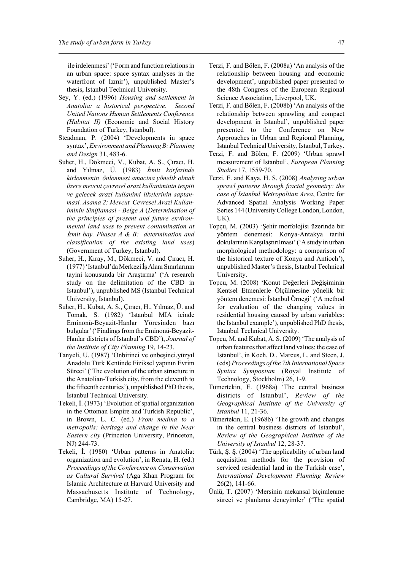ile irdelenmesi' ('Form and function relations in an urban space: space syntax analyses in the waterfront of Izmir'), unpublished Master's thesis, Istanbul Technical University.

- Sey, Y. (ed.) (1996) *Housing and settlement in Anatolia: a historical perspective. Second United Nations Human Settlements Conference (Habitat II)* (Economic and Social History Foundation of Turkey, Istanbul).
- Steadman, P. (2004) 'Developments in space syntax', *Environment and Planning B: Planning and Design* 31, 483-6.
- Suher, H., Dökmeci, V., Kubat, A. S., Çıracı, H. and Yılmaz, Ü. (1983) *İzmit körfezinde kirlenmenin önlenmesi amacina yönelik olmak üzere mevcut çevresel arazi kullaniminin tespiti ve gelecek arazi kullanimi ilkelerinin saptanmasi, Asama 2: Mevcut Cevresel Arazi Kullaniminin Siniflamasi - Belge A* (*Determination of the principles of present and future environmental land uses to prevent contamination at* ¤*zmit bay. Phases A & B: determination and classification of the existing land uses*) (Government of Turkey, Istanbul).
- Suher, H., Kıray, M., Dökmeci, V. and Cıracı, H.  $(1977)$  'Istanbul'da Merkezi İş Alanı Sınırlarının tayini konusunda bir Araştırma' ('A research study on the delimitation of the CBD in Istanbul'), unpublished MS (Istanbul Technical University, Istanbul).
- Suher, H., Kubat, A. S., Çıracı, H., Yılmaz, Ü. and Tomak, S. (1982) 'Istanbul MIA icinde Eminonü-Beyazit-Hanlar Yöresinden bazı bulgular' ('Findings from the Eminonü-Beyazit-Hanlar districts of Istanbul's CBD'), *Journal of the Institute of City Planning* 19, 14-23.
- Tanyeli, U. (1987) 'Onbirinci ve onbeşinci.yüzyıl Anadolu Türk Kentinde Fiziksel yapının Evrim Süreci' ('The evolution of the urban structure in the Anatolian-Turkish city, from the eleventh to the fifteenth centuries'), unpublished PhD thesis, İstanbul Technical University.
- Tekeli, İ. (1973) 'Evolution of spatial organization in the Ottoman Empire and Turkish Republic', in Brown, L. C. (ed.) *From medina to a metropolis: heritage and change in the Near Eastern city* (Princeton University, Princeton, NJ) 244-73.
- Tekeli, İ. (1980) 'Urban patterns in Anatolia: organization and evolution', in Renata, H. (ed.) *Proceedings of the Conference on Conservation as Cultural Survival* (Aga Khan Program for Islamic Architecture at Harvard University and Massachusetts Institute of Technology, Cambridge, MA) 15-27.
- Terzi, F. and Bölen, F. (2008a) 'An analysis of the relationship between housing and economic development', unpublished paper presented to the 48th Congress of the European Regional Science Association, Liverpool, UK.
- Terzi, F. and Bölen, F. (2008b) 'An analysis of the relationship between sprawling and compact development in Istanbul', unpublished paper presented to the Conference on New Approaches in Urban and Regional Planning, Istanbul Technical University, Istanbul, Turkey.
- Terzi, F. and Bölen, F. (2009) 'Urban sprawl measurement of Istanbul', *European Planning Studies* 17, 1559-70.
- Terzi, F. and Kaya, H. S. (2008) *Analyzing urban sprawl patterns through fractal geometry: the case of Istanbul Metropolitan Area*, Centre for Advanced Spatial Analysis Working Paper Series 144 (University College London, London, UK).
- Topçu, M. (2003) 'Şehir morfolojisi üzerinde bir yöntem denemesi: Konya-Antakya tarihi dokularının Karşılaştırılması' ('A study in urban morphological methodology: a comparison of the historical texture of Konya and Antioch'), unpublished Master's thesis, Istanbul Technical University.
- Topcu, M. (2008) 'Konut Değerleri Değişiminin Kentsel Etmenlerle Ölçülmesine yönelik bir yöntem denemesi: İstanbul Örneği' ('A method for evaluation of the changing values in residential housing caused by urban variables: the Istanbul example'), unpublished PhD thesis, Istanbul Technical University.
- Topcu, M. and Kubat, A. S. (2009) 'The analysis of urban features that affect land values: the case of Istanbul', in Koch, D., Marcus, L. and Steen, J. (eds) *Proceedings of the 7th International Space Syntax Symposium* (Royal Institute of Technology, Stockholm) 26, 1-9.
- Tümertekin, E. (1968a) 'The central business districts of Istanbul', *Review of the Geographical Institute of the University of Istanbul* 11, 21-36.
- Tümertekin, E. (1968b) 'The growth and changes in the central business districts of Istanbul', *Review of the Geographical Institute of the University of Istanbul* 12, 28-37.
- Türk, Ş. Ş. (2004) 'The applicability of urban land acquisition methods for the provision of serviced residential land in the Turkish case', *International Development Planning Review* 26(2), 141-66.
- Ünlü, T. (2007) 'Mersinin mekansal biçimlenme süreci ve planlama deneyimler' ('The spatial